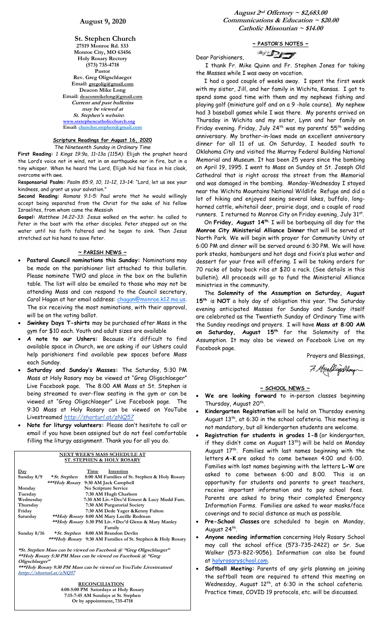**St. Stephen Church 27519 Monroe Rd. 533 Monroe City, MO 63456 Holy Rosary Rectory (573) 735-4718 Pastor Rev. Greg Oligschlaeger Email: gregolig@gmail.com Deacon Mike Long Email: deaconmikelong@gmail.com Current and past bulletins may be viewed at St. Stephen's website: [www.ststephencatholicchurch.org](http://www.ststephencatholicchurch.org/) Email: [churchst.stephen@gmail.com](mailto:churchst.stephen@gmail.com)**

#### **Scripture Readings for August 16, 2020** *The Nineteenth Sunday in Ordinary Time*

**First Reading:** *1 Kings 19:9a, 11–13a (115A):* Elijah the prophet heard the Lord's voice not in wind, not in an earthquake nor in fire, but in a tiny whisper. When he heard the Lord, Elijah hid his face in his cloak, overcome with awe.

R**esponsorial Psalm:** *Psalm 85:9, 10, 11–12, 13–14:* "Lord, let us see your kindness, and grant us your salvation."

**Second Reading:** *Romans 9:1–5:* Paul wrote that he would willingly accept being separated from the Christ for the sake of his fellow Israelites, from whom came the Messiah

**Gospel:** *Matthew 14:22–33:* Jesus walked on the water. he called to Peter in the boat with the other disciples. Peter stepped out on the water until his faith faltered and he began to sink. Then Jesus stretched out his hand to save Peter.

## **~ PARISH NEWS ~**

- **Pastoral Council nominations this Sunday:** Nominations may be made on the parishioner list attached to this bulletin. Please nominate TWO and place in the box on the bulletin table. The list will also be emailed to those who may not be attending Mass and can respond to the Council secretary, Carol Hagan at her email address: [chagan@monroe.k12.mo.us](mailto:chagan@monroe.k12.mo.us). The six receiving the most nominations, with their approval, will be on the voting ballot.
- **Swinkey Days T-shirts** may be purchased after Mass in the gym for \$10 each. Youth and adult sizes are available
- **A note to our Ushers:** Because it's difficult to find available space in Church, we are asking if our Ushers could help parishioners find available pew spaces before Mass each Sunday.
- **Saturday and Sunday's Masses:** The Saturday, 5:30 PM Mass at Holy Rosary may be viewed at "Greg Oligschlaeger" Live Facebook page. The 8:00 AM Mass at St. Stephen is being streamed to over-flow seating in the gym or can be viewed at "Greg Oligschlaeger" Live Facebook page. The 9:30 Mass at Holy Rosary can be viewed on YouTube Livestreamed *http://shorturl.at/zNQ57*
- **Note for liturgy volunteers:** Please don't hesitate to call or email if you have been assigned but do not feel comfortable filling the liturgy assignment. Thank you for all you do.

#### **NEXT WEEK'S MASS SCHEDULE AT ST. STEPHEN & HOLY ROSARY Day**<br>Sunday 8/9 \* *St. Stephen* 8:00 AM Families of ! \* **St. Stephen** 8:00 AM Families of St. Stephen & Holy Rosary<br>\*\*\*Holy Rosary 9:30 AM Jack Campbell  **\*\*\*Holy Rosary 9:30 AM Jack Campbell** Monday **No Scripture Service**<br>Tuesday **7:30 AM Hugh Char** Tuesday 7:30 AM Hugh Charlson<br>Wednesday 7:30 AM Liv.+Dec'd Erne **Wednesday 7:30 AM Liv.+Dec'd Ernest & Lucy Mudd Fam. 7:30 AM Purgatorial Society** Friday 7:30 AM Dede Yager & Kenny Fulton **Saturday \*\*Holy Rosary 8:00 AM Mary Lucille Redman \*\*Holy Rosary 5:30 PM Liv.+Dec'd Glenn & Mary Manley Family Sunday 8/16 \*St. Stephen 8:00 AM Brandon Devlin \*\*\*Holy Rosary 9:30 AM Families of St. Stephen & Holy Rosary \*St. Stephen Mass can be viewed on Facebook @ "Greg Oligschlaeger"**

**\*\*Holy Rosary 5:30 PM Mass can be viewed on Facebook @ "Greg Oligschlaeger" \*\*\*Holy Rosary 9:30 PM Mass can be viewed on YouTube Livestreamed**

**htttp://shorturl.at/zNQ57** 

 **RECONCILIATION 4:00-5:00 PM Saturdays at Holy Rosary 7:15-7:45 AM Sundays at St. Stephen Or by appointment, 735-4718**

**August 2nd Offertory ~ \$2,683.00 Communications & Education ~ \$20.00 Catholic Missourian ~ \$14.00**

# **~ PASTOR'S NOTES ~**

Dear Parishioners,

 $\mathbb{Z}$ 

 I thank Fr. Mike Quinn and Fr. Stephen Jones for taking the Masses while I was away on vacation.

 I had a good couple of weeks away. I spent the first week with my sister, Jill, and her family in Wichita, Kansas. I got to spend some good time with them and my nephews fishing and playing golf (miniature golf and on a 9 -hole course). My nephew had 3 baseball games while I was there. My parents arrived on Thursday in Wichita and my sister, Lynn and her family on Friday evening. Friday, July 24<sup>th</sup> was my parents' 55<sup>th</sup> wedding anniversary. My brother-in-laws made an excellent anniversary dinner for all 11 of us. On Saturday, I headed south to Oklahoma City and visited the Murray Federal Building National Memorial and Museum. It has been 25 years since the bombing on April 19, 1995. I went to Mass on Sunday at St. Joseph Old Cathedral that is right across the street from the Memorial and was damaged in the bombing. Monday-Wednesday I stayed near the Wichita Mountains National Wildlife Refuge and did a lot of hiking and enjoyed seeing several lakes, buffalo, longhorned cattle, whitetail deer, prairie dogs, and a couple of road runners. I returned to Monroe City on Friday evening, July  $31^{st}$ .

 On **Friday, August 14th**, I will be barbequing all day for the **Monroe City Ministerial Alliance Dinner** that will be served at North Park. We will begin with prayer for Community Unity at 6:00 PM and dinner will be served around 6:30 PM. We will have pork steaks, hamburgers and hot dogs and fixin's plus water and dessert for your free will offering. I will be taking orders for 70 racks of baby back ribs at \$20 a rack. (See details in this bulletin). All proceeds will go to fund the Ministerial Alliance ministries in the community.

 The **Solemnity of the Assumption on Saturday, August 15th** is **NOT** a holy day of obligation this year. The Saturday evening anticipated Masses for Sunday and Sunday itself are celebrated as the Twentieth Sunday of Ordinary Time with the Sunday readings and prayers. I will have **Mass at 8:00 AM on Saturday, August 15th** for the Solemnity of the Assumption. It may also be viewed on Facebook Live on my Facebook page.

Prayers and Blessings,

7. Headlighthay

#### **~ SCHOOL NEWS ~**

- We are looking forward to in-person classes beginning Thursday, August 20<sup>th</sup>.
- **Kindergarten Registration** will be held on Thursday evening August  $13^{\text{th}}$ , at 6:30 in the school cafeteria. This meeting is not mandatory, but all kindergarten students are welcome.
- **Registration for students in grades 1-8** (or kindergarten, if they didn't come on August  $13<sup>th</sup>$ ) will be held on Monday August 17<sup>th</sup>. Families with last names beginning with the letters **A-K** are asked to come between 4:00 and 6:00. Families with last names beginning with the letters **L-W** are asked to come between 6:00 and 8:00. This is an opportunity for students and parents to greet teachers, receive important information and to pay school fees. Parents are asked to bring their completed Emergency Information Forms. Families are asked to wear masks/face coverings and to social distance as much as possible.
- **Pre-School Classes** are scheduled to begin on Monday, August 24<sup>th</sup>.
- **Anyone needing information** concerning Holy Rosary School may call the school office (573-735-2422) or Sr. Sue Walker (573-822-9056). Information can also be found at [holyrosaryschool.com.](http://holyrosaryschool.com/)
- **Softball Meeting:** Parents of any girls planning on joining the softball team are required to attend this meeting on Wednesday, August 12<sup>th</sup>, at 6:30 in the school cafeteria. Practice times, COVID 19 protocols, etc. will be discussed.